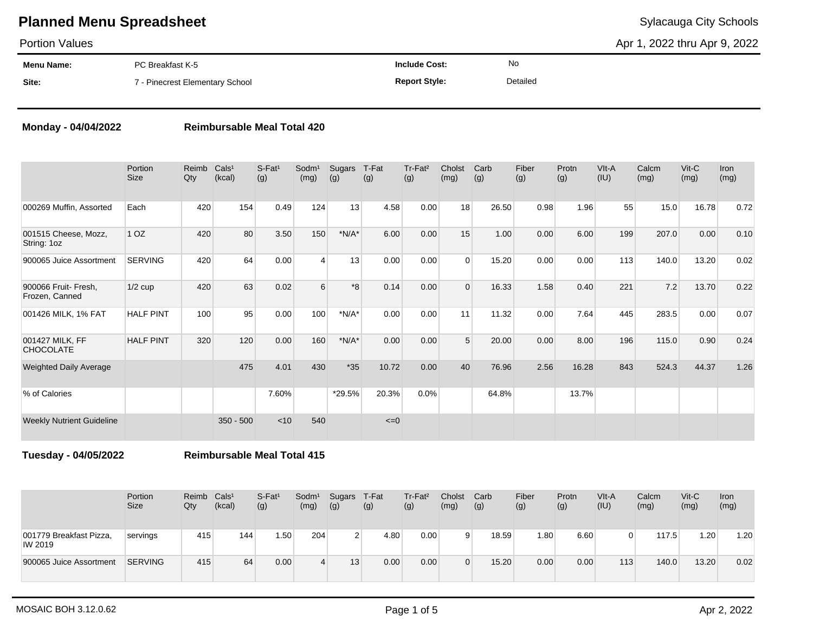Portion Values

Apr 1, 2022 thru Apr 9, 2022

| <b>Menu Name:</b> | PC Breakfast K-5                | <b>Include Cost:</b> | No       |
|-------------------|---------------------------------|----------------------|----------|
| Site:             | 7 - Pinecrest Elementary School | <b>Report Style:</b> | Detailed |

### **Monday - 04/04/2022 Reimbursable Meal Total 420**

|                                        | Portion<br><b>Size</b> | Reimb<br>Qty | Cals <sup>1</sup><br>(kcal) | $S$ -Fat <sup>1</sup><br>(g) | Sodm <sup>1</sup><br>(mg) | Sugars<br>(g) | T-Fat<br>(g) | Tr-Fat <sup>2</sup><br>(g) | Cholst<br>(mg) | Carb<br>(g) | Fiber<br>(g) | Protn<br>(g) | VIt-A<br>(IU) | Calcm<br>(mg) | $V$ it-C<br>(mg) | <b>Iron</b><br>(mg) |
|----------------------------------------|------------------------|--------------|-----------------------------|------------------------------|---------------------------|---------------|--------------|----------------------------|----------------|-------------|--------------|--------------|---------------|---------------|------------------|---------------------|
| 000269 Muffin, Assorted                | Each                   | 420          | 154                         | 0.49                         | 124                       | 13            | 4.58         | 0.00                       | 18             | 26.50       | 0.98         | 1.96         | 55            | 15.0          | 16.78            | 0.72                |
| 001515 Cheese, Mozz,<br>String: 1oz    | 1 OZ                   | 420          | 80                          | 3.50                         | 150                       | $*N/A*$       | 6.00         | 0.00                       | 15             | 1.00        | 0.00         | 6.00         | 199           | 207.0         | 0.00             | 0.10                |
| 900065 Juice Assortment                | <b>SERVING</b>         | 420          | 64                          | 0.00                         | $\overline{4}$            | 13            | 0.00         | 0.00                       | $\Omega$       | 15.20       | 0.00         | 0.00         | 113           | 140.0         | 13.20            | 0.02                |
| 900066 Fruit- Fresh,<br>Frozen, Canned | $1/2$ cup              | 420          | 63                          | 0.02                         | 6                         | $8*$          | 0.14         | 0.00                       | $\Omega$       | 16.33       | 1.58         | 0.40         | 221           | 7.2           | 13.70            | 0.22                |
| 001426 MILK, 1% FAT                    | <b>HALF PINT</b>       | 100          | 95                          | 0.00                         | 100                       | $*N/A*$       | 0.00         | 0.00                       | 11             | 11.32       | 0.00         | 7.64         | 445           | 283.5         | 0.00             | 0.07                |
| 001427 MILK, FF<br><b>CHOCOLATE</b>    | <b>HALF PINT</b>       | 320          | 120                         | 0.00                         | 160                       | $*N/A*$       | 0.00         | 0.00                       | 5              | 20.00       | 0.00         | 8.00         | 196           | 115.0         | 0.90             | 0.24                |
| <b>Weighted Daily Average</b>          |                        |              | 475                         | 4.01                         | 430                       | $*35$         | 10.72        | 0.00                       | 40             | 76.96       | 2.56         | 16.28        | 843           | 524.3         | 44.37            | 1.26                |
| % of Calories                          |                        |              |                             | 7.60%                        |                           | *29.5%        | 20.3%        | 0.0%                       |                | 64.8%       |              | 13.7%        |               |               |                  |                     |
| <b>Weekly Nutrient Guideline</b>       |                        |              | $350 - 500$                 | < 10                         | 540                       |               | $\leq=0$     |                            |                |             |              |              |               |               |                  |                     |

**Tuesday - 04/05/2022 Reimbursable Meal Total 415**

|                                    | Portion<br>Size | Reimb<br>Qty | Cals <sup>1</sup><br>(kcal) | $S-Fat1$<br>(g) | Sodm <sup>1</sup><br>(mg) | Sugars<br>(g)   | T-Fat<br>(g) | Tr-Fat <sup>2</sup><br>(g) | Cholst<br>(mg) | Carb<br>(g) | Fiber<br>(g) | Protn<br>(g) | VIt-A<br>(IU) | Calcm<br>(mg) | Vit-C<br>(mg) | Iron<br>(mg) |
|------------------------------------|-----------------|--------------|-----------------------------|-----------------|---------------------------|-----------------|--------------|----------------------------|----------------|-------------|--------------|--------------|---------------|---------------|---------------|--------------|
| 001779 Breakfast Pizza,<br>IW 2019 | servings        | 415          | 144                         | 1.50            | 204                       |                 | 4.80         | 0.00                       |                | 18.59       | .80          | 6.60         |               | 117.5         | 1.20          | 1.20         |
| 900065 Juice Assortment            | <b>SERVING</b>  | 415          | 64                          | 0.00            |                           | 13 <sub>1</sub> | 0.00         | 0.00                       |                | 15.20       | 0.00         | 0.00         | 113           | 140.0         | 13.20         | 0.02         |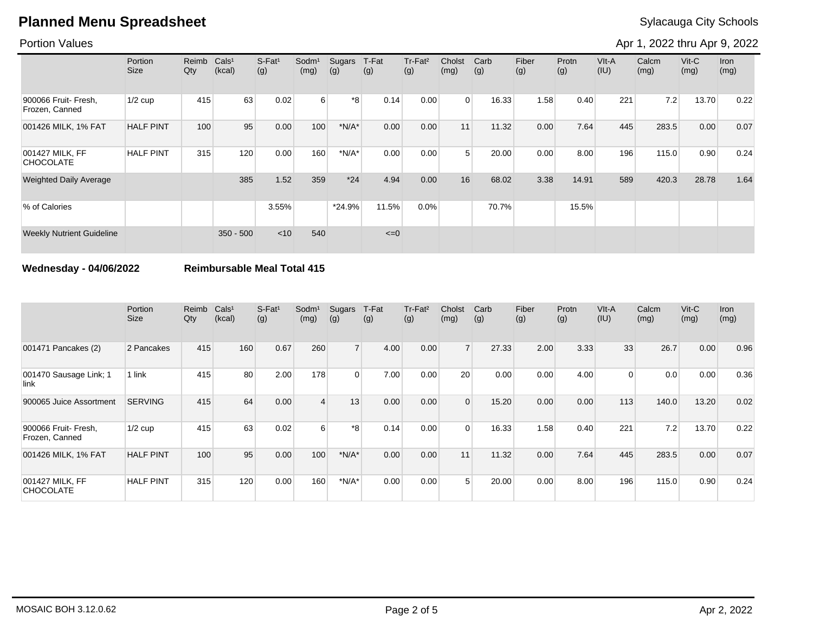### Portion Values

Apr 1, 2022 thru Apr 9, 2022

|                                        | Portion<br>Size  | Reimb<br>Qty | Cals <sup>1</sup><br>(kcal) | S-Fat <sup>1</sup><br>(g) | Sodm <sup>1</sup><br>(mg) | Sugars<br>(g) | T-Fat<br>(g) | Tr-Fat <sup>2</sup><br>(g) | Cholst<br>(mg) | Carb<br>(g) | Fiber<br>(g) | Protn<br>(g) | VIt-A<br>(IU) | Calcm<br>(mg) | $V$ it-C<br>(mg) | <b>Iron</b><br>(mg) |
|----------------------------------------|------------------|--------------|-----------------------------|---------------------------|---------------------------|---------------|--------------|----------------------------|----------------|-------------|--------------|--------------|---------------|---------------|------------------|---------------------|
| 900066 Fruit- Fresh,<br>Frozen, Canned | $1/2$ cup        | 415          | 63                          | 0.02                      | $6 \overline{6}$          | *8            | 0.14         | 0.00                       | $\Omega$       | 16.33       | 1.58         | 0.40         | 221           | 7.2           | 13.70            | 0.22                |
| 001426 MILK, 1% FAT                    | <b>HALF PINT</b> | 100          | 95                          | 0.00                      | 100                       | $*N/A*$       | 0.00         | 0.00                       | 11             | 11.32       | 0.00         | 7.64         | 445           | 283.5         | 0.00             | 0.07                |
| 001427 MILK, FF<br><b>CHOCOLATE</b>    | <b>HALF PINT</b> | 315          | 120                         | 0.00                      | 160                       | $*N/A*$       | 0.00         | 0.00                       | 5              | 20.00       | 0.00         | 8.00         | 196           | 115.0         | 0.90             | 0.24                |
| <b>Weighted Daily Average</b>          |                  |              | 385                         | 1.52                      | 359                       | $*24$         | 4.94         | 0.00                       | 16             | 68.02       | 3.38         | 14.91        | 589           | 420.3         | 28.78            | 1.64                |
| % of Calories                          |                  |              |                             | 3.55%                     |                           | $*24.9%$      | 11.5%        | 0.0%                       |                | 70.7%       |              | 15.5%        |               |               |                  |                     |
| <b>Weekly Nutrient Guideline</b>       |                  |              | $350 - 500$                 | $<$ 10                    | 540                       |               | $\leq=0$     |                            |                |             |              |              |               |               |                  |                     |

### **Wednesday - 04/06/2022 Reimbursable Meal Total 415**

|                                        | Portion<br>Size  | Reimb<br>Qty | Cals <sup>1</sup><br>(kcal) | $S-Fat1$<br>(g) | Sodm <sup>1</sup><br>(mg) | Sugars<br>(g)  | T-Fat<br>(g) | $Tr-Fat2$<br>(g) | Cholst<br>(mg) | Carb<br>(g) | Fiber<br>(g) | Protn<br>(g) | VIt-A<br>(IU) | Calcm<br>(mg) | $V$ it- $C$<br>(mg) | Iron<br>(mg) |
|----------------------------------------|------------------|--------------|-----------------------------|-----------------|---------------------------|----------------|--------------|------------------|----------------|-------------|--------------|--------------|---------------|---------------|---------------------|--------------|
| 001471 Pancakes (2)                    | 2 Pancakes       | 415          | 160                         | 0.67            | 260                       | $\overline{7}$ | 4.00         | 0.00             |                | 27.33       | 2.00         | 3.33         | 33            | 26.7          | 0.00                | 0.96         |
| 001470 Sausage Link; 1<br>link         | 1 link           | 415          | 80                          | 2.00            | 178                       | $\Omega$       | 7.00         | 0.00             | 20             | 0.00        | 0.00         | 4.00         | $\Omega$      | 0.0           | 0.00                | 0.36         |
| 900065 Juice Assortment                | <b>SERVING</b>   | 415          | 64                          | 0.00            | $\overline{4}$            | 13             | 0.00         | 0.00             | $\Omega$       | 15.20       | 0.00         | 0.00         | 113           | 140.0         | 13.20               | 0.02         |
| 900066 Fruit- Fresh,<br>Frozen, Canned | $1/2$ cup        | 415          | 63                          | 0.02            | $6 \mid$                  | *8             | 0.14         | 0.00             | $\Omega$       | 16.33       | 1.58         | 0.40         | 221           | 7.2           | 13.70               | 0.22         |
| 001426 MILK, 1% FAT                    | <b>HALF PINT</b> | 100          | 95                          | 0.00            | 100                       | $*N/A*$        | 0.00         | 0.00             | 11             | 11.32       | 0.00         | 7.64         | 445           | 283.5         | 0.00                | 0.07         |
| 001427 MILK, FF<br><b>CHOCOLATE</b>    | <b>HALF PINT</b> | 315          | 120                         | 0.00            | 160                       | $*N/A*$        | 0.00         | 0.00             | 5 <sub>1</sub> | 20.00       | 0.00         | 8.00         | 196           | 115.0         | 0.90                | 0.24         |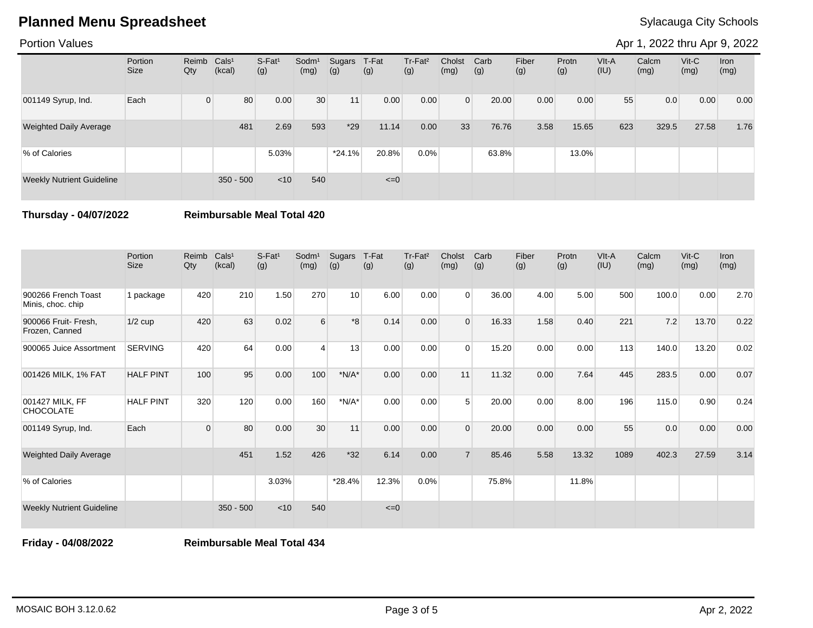Portion Values

Apr 1, 2022 thru Apr 9, 2022

|                                  | Portion<br><b>Size</b> | Reimb Cals <sup>1</sup><br>Qty | (kcal)      | $S-Fat1$<br>(g) | Sodm <sup>1</sup><br>(mg) | Sugars<br>(g) | T-Fat<br>(g) | Tr-Fat <sup>2</sup><br>(g) | Cholst<br>(mg) | Carb<br>(g) | Fiber<br>(g) | Protn<br>(g) | VIt-A<br>(IU) | Calcm<br>(mg) | $V$ it-C<br>(mg) | Iron<br>(mg) |
|----------------------------------|------------------------|--------------------------------|-------------|-----------------|---------------------------|---------------|--------------|----------------------------|----------------|-------------|--------------|--------------|---------------|---------------|------------------|--------------|
| 001149 Syrup, Ind.               | Each                   | $\Omega$                       | 80          | 0.00            | 30                        | 11            | 0.00         | 0.00                       | $\Omega$       | 20.00       | 0.00         | 0.00         | 55            | 0.0           | 0.00             | 0.00         |
| <b>Weighted Daily Average</b>    |                        |                                | 481         | 2.69            | 593                       | $*29$         | 11.14        | 0.00                       | 33             | 76.76       | 3.58         | 15.65        | 623           | 329.5         | 27.58            | 1.76         |
| % of Calories                    |                        |                                |             | 5.03%           |                           | $*24.1%$      | 20.8%        | 0.0%                       |                | 63.8%       |              | 13.0%        |               |               |                  |              |
| <b>Weekly Nutrient Guideline</b> |                        |                                | $350 - 500$ | $<$ 10          | 540                       |               | $\leq=0$     |                            |                |             |              |              |               |               |                  |              |

**Thursday - 04/07/2022 Reimbursable Meal Total 420**

|                                          | Portion<br><b>Size</b> | Reimb<br>Qty | Cals <sup>1</sup><br>(kcal) | S-Fat <sup>1</sup><br>(g) | Sodm <sup>1</sup><br>(mg) | Sugars<br>(g) | T-Fat<br>(g) | Tr-Fat <sup>2</sup><br>(g) | Cholst<br>(mg) | Carb<br>(g) | Fiber<br>(g) | Protn<br>(g) | VIt-A<br>(IU) | Calcm<br>(mg) | $V$ it-C<br>(mg) | <b>Iron</b><br>(mg) |
|------------------------------------------|------------------------|--------------|-----------------------------|---------------------------|---------------------------|---------------|--------------|----------------------------|----------------|-------------|--------------|--------------|---------------|---------------|------------------|---------------------|
| 900266 French Toast<br>Minis, choc. chip | 1 package              | 420          | 210                         | 1.50                      | 270                       | 10            | 6.00         | 0.00                       | $\Omega$       | 36.00       | 4.00         | 5.00         | 500           | 100.0         | 0.00             | 2.70                |
| 900066 Fruit- Fresh,<br>Frozen, Canned   | $1/2$ cup              | 420          | 63                          | 0.02                      | 6                         | *8            | 0.14         | 0.00                       | $\Omega$       | 16.33       | 1.58         | 0.40         | 221           | 7.2           | 13.70            | 0.22                |
| 900065 Juice Assortment                  | <b>SERVING</b>         | 420          | 64                          | 0.00                      | 4                         | 13            | 0.00         | 0.00                       | $\Omega$       | 15.20       | 0.00         | 0.00         | 113           | 140.0         | 13.20            | 0.02                |
| 001426 MILK, 1% FAT                      | <b>HALF PINT</b>       | 100          | 95                          | 0.00                      | 100                       | $*N/A*$       | 0.00         | 0.00                       | 11             | 11.32       | 0.00         | 7.64         | 445           | 283.5         | 0.00             | 0.07                |
| 001427 MILK, FF<br><b>CHOCOLATE</b>      | <b>HALF PINT</b>       | 320          | 120                         | 0.00                      | 160                       | $*N/A*$       | 0.00         | 0.00                       | 5              | 20.00       | 0.00         | 8.00         | 196           | 115.0         | 0.90             | 0.24                |
| 001149 Syrup, Ind.                       | Each                   | $\mathbf 0$  | 80                          | 0.00                      | 30                        | 11            | 0.00         | 0.00                       | $\Omega$       | 20.00       | 0.00         | 0.00         | 55            | 0.0           | 0.00             | 0.00                |
| <b>Weighted Daily Average</b>            |                        |              | 451                         | 1.52                      | 426                       | $*32$         | 6.14         | 0.00                       | $\overline{7}$ | 85.46       | 5.58         | 13.32        | 1089          | 402.3         | 27.59            | 3.14                |
| % of Calories                            |                        |              |                             | 3.03%                     |                           | $*28.4%$      | 12.3%        | 0.0%                       |                | 75.8%       |              | 11.8%        |               |               |                  |                     |
| <b>Weekly Nutrient Guideline</b>         |                        |              | $350 - 500$                 | $<$ 10                    | 540                       |               | $\leq=0$     |                            |                |             |              |              |               |               |                  |                     |

**Friday - 04/08/2022 Reimbursable Meal Total 434**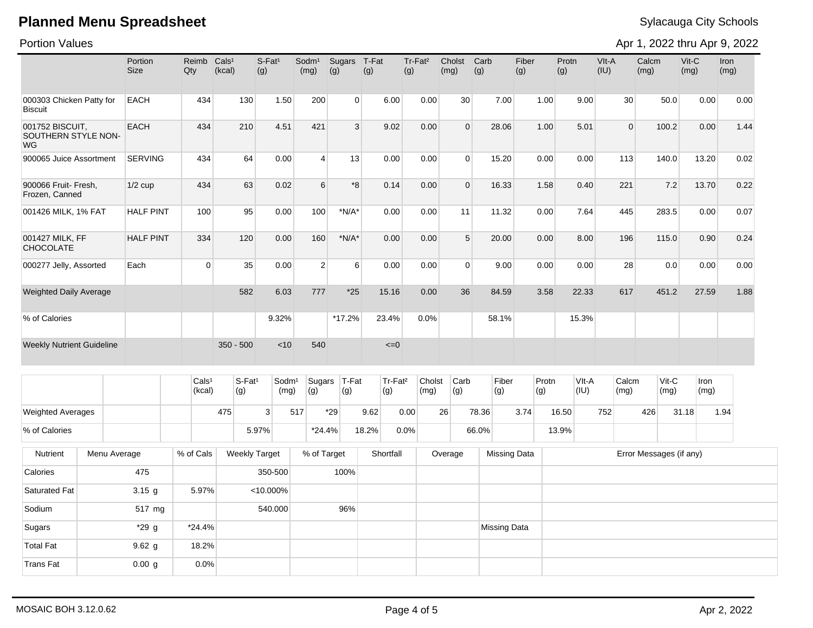Portion Values

Apr 1, 2022 thru Apr 9, 2022

|                                              |              | Portion          | Reimb Cals <sup>1</sup>     |                           | S-Fat <sup>1</sup>        |                           |                |                            | Tr-Fat <sup>2</sup> | Cholst                | Carb        |                     |              |               | VIt-A         |                 |                         | Vit-C        |              |
|----------------------------------------------|--------------|------------------|-----------------------------|---------------------------|---------------------------|---------------------------|----------------|----------------------------|---------------------|-----------------------|-------------|---------------------|--------------|---------------|---------------|-----------------|-------------------------|--------------|--------------|
|                                              |              | <b>Size</b>      | Qty                         | (kcal)                    | (g)                       | Sodm <sup>1</sup><br>(mg) | Sugars<br>(g)  | T-Fat<br>(g)               | (g)                 | (mg)                  | (g)         | Fiber<br>(g)        |              | Protn<br>(g)  | (IU)          | Calcm<br>(mg)   |                         | (mg)         | Iron<br>(mg) |
|                                              |              |                  |                             |                           |                           |                           |                |                            |                     |                       |             |                     |              |               |               |                 |                         |              |              |
| 000303 Chicken Patty for<br>Biscuit          |              | <b>EACH</b>      | 434                         | 130                       | 1.50                      | 200                       | $\overline{0}$ | 6.00                       | 0.00                |                       | 30          | 7.00                | 1.00         | 9.00          |               | 30 <sup>°</sup> | 50.0                    | 0.00         | 0.00         |
| 001752 BISCUIT.<br>SOUTHERN STYLE NON-<br>WG |              | <b>EACH</b>      | 434                         | 210                       | 4.51                      | 421                       | 3              | 9.02                       | 0.00                |                       | $\Omega$    | 28.06               | 1.00         | 5.01          |               | $\Omega$        | 100.2                   | 0.00         | 1.44         |
| 900065 Juice Assortment                      |              | <b>SERVING</b>   | 434                         | 64                        | 0.00                      | $\overline{4}$            | 13             | 0.00                       | 0.00                |                       | $\Omega$    | 15.20               | 0.00         | 0.00          | 113           |                 | 140.0                   | 13.20        | 0.02         |
| 900066 Fruit- Fresh,<br>Frozen, Canned       |              | $1/2$ cup        | 434                         | 63                        | 0.02                      | $\sqrt{6}$                | *8             | 0.14                       | 0.00                |                       | $\Omega$    | 16.33               | 1.58         | 0.40          | 221           |                 | 7.2                     | 13.70        | 0.22         |
| 001426 MILK, 1% FAT                          |              | <b>HALF PINT</b> | 100                         | 95                        | 0.00                      | 100                       | $*N/A*$        | 0.00                       | 0.00                |                       | 11          | 11.32               | 0.00         | 7.64          | 445           |                 | 283.5                   | 0.00         | 0.07         |
| 001427 MILK, FF<br><b>CHOCOLATE</b>          |              | <b>HALF PINT</b> | 334                         | 120                       | 0.00                      | 160                       | $*N/A*$        | 0.00                       | 0.00                |                       | 5           | 20.00               | 0.00         | 8.00          | 196           |                 | 115.0                   | 0.90         | 0.24         |
| 000277 Jelly, Assorted                       |              | Each             | 0                           | 35                        | 0.00                      | $\sqrt{2}$                | 6              | 0.00                       | 0.00                |                       | $\mathbf 0$ | 9.00                | 0.00         | 0.00          |               | 28              | 0.0                     | 0.00         | 0.00         |
| <b>Weighted Daily Average</b>                |              |                  |                             | 582                       | 6.03                      | 777                       | $*25$          | 15.16                      | 0.00                |                       | 36          | 84.59               | 3.58         | 22.33         | 617           |                 | 451.2                   | 27.59        | 1.88         |
| % of Calories                                |              |                  |                             |                           | 9.32%                     |                           | $*17.2%$       | 23.4%                      | 0.0%                |                       |             | 58.1%               |              | 15.3%         |               |                 |                         |              |              |
| <b>Weekly Nutrient Guideline</b>             |              |                  |                             | $350 - 500$               | < 10                      | 540                       |                | $\leq 0$                   |                     |                       |             |                     |              |               |               |                 |                         |              |              |
|                                              |              |                  | Cals <sup>1</sup><br>(kcal) | S-Fat <sup>1</sup><br>(g) | Sodm <sup>1</sup><br>(mg) | Sugars<br>(g)             | $T-Fat$<br>(g) | Tr-Fat <sup>2</sup><br>(g) | (mg)                | Carb<br>Cholst<br>(g) |             | Fiber<br>(g)        | Protn<br>(g) | VIt-A<br>(IU) | Calcm<br>(mg) |                 | $Vit-C$<br>(mg)         | Iron<br>(mg) |              |
|                                              |              |                  |                             |                           | 3                         |                           | $*29$          | 9.62                       | 0.00                | 26                    |             |                     |              |               | 752           | 426             | 31.18                   |              |              |
| <b>Weighted Averages</b>                     |              |                  |                             | 475                       |                           | 517                       |                |                            |                     |                       | 78.36       | 3.74                |              | 16.50         |               |                 |                         |              | 1.94         |
| % of Calories                                |              |                  |                             |                           | 5.97%                     | $*24.4%$                  |                | 18.2%                      | 0.0%                |                       | 66.0%       |                     |              | 13.9%         |               |                 |                         |              |              |
| Nutrient                                     | Menu Average |                  | % of Cals                   | <b>Weekly Target</b>      |                           | % of Target               |                | Shortfall                  |                     | Overage               |             | <b>Missing Data</b> |              |               |               |                 | Error Messages (if any) |              |              |
| Calories                                     |              | 475              |                             |                           | 350-500                   |                           | 100%           |                            |                     |                       |             |                     |              |               |               |                 |                         |              |              |
| <b>Saturated Fat</b>                         |              | $3.15$ g         | 5.97%                       |                           | $< 10.000\%$              |                           |                |                            |                     |                       |             |                     |              |               |               |                 |                         |              |              |
| Sodium                                       |              | 517 mg           |                             |                           | 540.000                   |                           | 96%            |                            |                     |                       |             |                     |              |               |               |                 |                         |              |              |

Total Fat  $\begin{array}{|c|c|c|c|c|} \hline \text{Total Fat} & \text{9.62 g} & \text{18.2\%} \hline \end{array}$ Trans Fat  $\begin{array}{|c|c|c|c|c|}\n\hline\n0.00 & 9 & 0.0\% \hline\n\end{array}$ 

Sugars **1988** \*29 g \*24.4% \*24.4% and the set of the set of the set of the set of the set of the set of the set of the set of the set of the set of the set of the set of the set of the set of the set of the set of the set